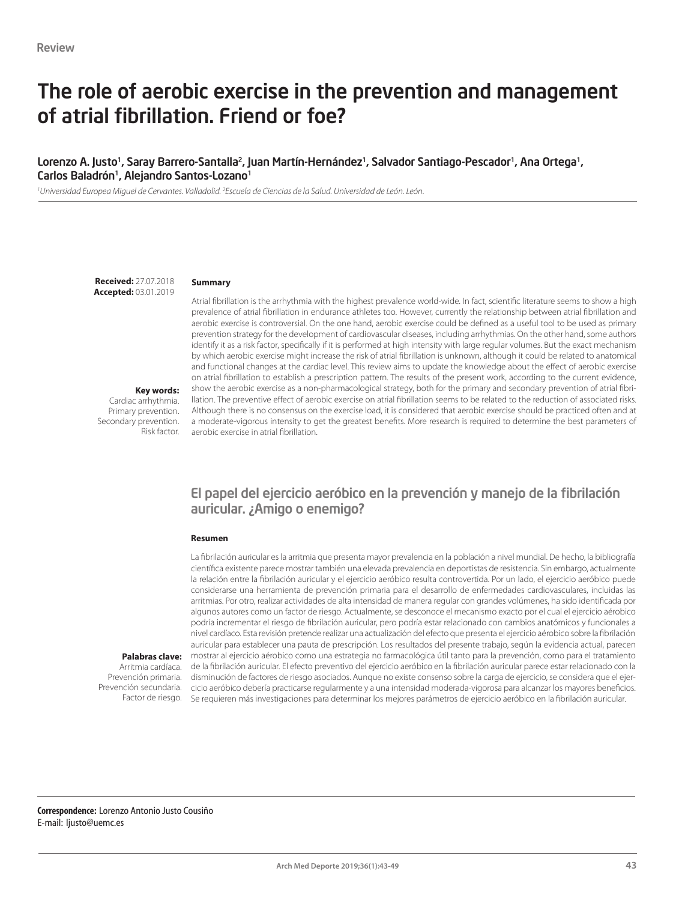# The role of aerobic exercise in the prevention and management of atrial fibrillation. Friend or foe?

### Lorenzo A. Justo<sup>1</sup>, Saray Barrero-Santalla<sup>2</sup>, Juan Martín-Hernández<sup>1</sup>, Salvador Santiago-Pescador<sup>1</sup>, Ana Ortega<sup>1</sup>, Carlos Baladrón<sup>1</sup>, Alejandro Santos-Lozano<sup>1</sup>

*1 Universidad Europea Miguel de Cervantes. Valladolid. 2 Escuela de Ciencias de la Salud. Universidad de León. León.*

**Received:** 27.07.2018 **Accepted:** 03.01.2019

**Key words:**  Cardiac arrhythmia. Primary prevention. Secondary prevention.

Risk factor.

#### **Summary**

Atrial fibrillation is the arrhythmia with the highest prevalence world-wide. In fact, scientific literature seems to show a high prevalence of atrial fibrillation in endurance athletes too. However, currently the relationship between atrial fibrillation and aerobic exercise is controversial. On the one hand, aerobic exercise could be defined as a useful tool to be used as primary prevention strategy for the development of cardiovascular diseases, including arrhythmias. On the other hand, some authors identify it as a risk factor, specifically if it is performed at high intensity with large regular volumes. But the exact mechanism by which aerobic exercise might increase the risk of atrial fibrillation is unknown, although it could be related to anatomical and functional changes at the cardiac level. This review aims to update the knowledge about the effect of aerobic exercise on atrial fibrillation to establish a prescription pattern. The results of the present work, according to the current evidence, show the aerobic exercise as a non-pharmacological strategy, both for the primary and secondary prevention of atrial fibrillation. The preventive effect of aerobic exercise on atrial fibrillation seems to be related to the reduction of associated risks. Although there is no consensus on the exercise load, it is considered that aerobic exercise should be practiced often and at a moderate-vigorous intensity to get the greatest benefits. More research is required to determine the best parameters of aerobic exercise in atrial fibrillation.

### El papel del ejercicio aeróbico en la prevención y manejo de la fibrilación auricular. ¿Amigo o enemigo?

#### **Resumen**

La fibrilación auricular es la arritmia que presenta mayor prevalencia en la población a nivel mundial. De hecho, la bibliografía científica existente parece mostrar también una elevada prevalencia en deportistas de resistencia. Sin embargo, actualmente la relación entre la fibrilación auricular y el ejercicio aeróbico resulta controvertida. Por un lado, el ejercicio aeróbico puede considerarse una herramienta de prevención primaria para el desarrollo de enfermedades cardiovasculares, incluidas las arritmias. Por otro, realizar actividades de alta intensidad de manera regular con grandes volúmenes, ha sido identificada por algunos autores como un factor de riesgo. Actualmente, se desconoce el mecanismo exacto por el cual el ejercicio aérobico podría incrementar el riesgo de fibrilación auricular, pero podría estar relacionado con cambios anatómicos y funcionales a nivel cardíaco. Esta revisión pretende realizar una actualización del efecto que presenta el ejercicio aérobico sobre la fibrilación auricular para establecer una pauta de prescripción. Los resultados del presente trabajo, según la evidencia actual, parecen mostrar al ejercicio aérobico como una estrategia no farmacológica útil tanto para la prevención, como para el tratamiento de la fibrilación auricular. El efecto preventivo del ejercicio aeróbico en la fibrilación auricular parece estar relacionado con la disminución de factores de riesgo asociados. Aunque no existe consenso sobre la carga de ejercicio, se considera que el ejercicio aeróbico debería practicarse regularmente y a una intensidad moderada-vigorosa para alcanzar los mayores beneficios. Factor de riesgo. Se requieren más investigaciones para determinar los mejores parámetros de ejercicio aeróbico en la fibrilación auricular.

#### **Palabras clave:**  Arritmia cardíaca.

Prevención primaria. Prevención secundaria.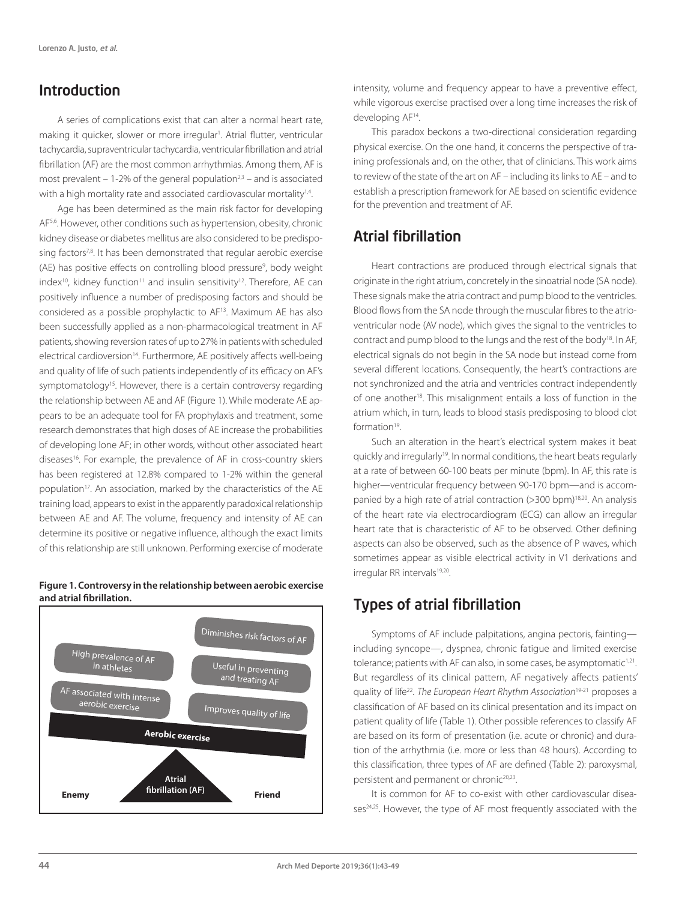## Introduction

A series of complications exist that can alter a normal heart rate, making it quicker, slower or more irregular<sup>1</sup>. Atrial flutter, ventricular tachycardia, supraventricular tachycardia, ventricular fibrillation and atrial fibrillation (AF) are the most common arrhythmias. Among them, AF is most prevalent  $-1-2%$  of the general population<sup>2,3</sup> – and is associated with a high mortality rate and associated cardiovascular mortality<sup>1,4</sup>.

Age has been determined as the main risk factor for developing AF<sub>5,6</sub>. However, other conditions such as hypertension, obesity, chronic kidney disease or diabetes mellitus are also considered to be predisposing factors<sup>7,8</sup>. It has been demonstrated that regular aerobic exercise (AE) has positive effects on controlling blood pressure<sup>9</sup>, body weight  $index^{10}$ , kidney function<sup>11</sup> and insulin sensitivity<sup>12</sup>. Therefore, AE can positively influence a number of predisposing factors and should be considered as a possible prophylactic to AF13. Maximum AE has also been successfully applied as a non-pharmacological treatment in AF patients, showing reversion rates of up to 27% in patients with scheduled electrical cardioversion<sup>14</sup>. Furthermore, AE positively affects well-being and quality of life of such patients independently of its efficacy on AF's symptomatology<sup>15</sup>. However, there is a certain controversy regarding the relationship between AE and AF (Figure 1). While moderate AE appears to be an adequate tool for FA prophylaxis and treatment, some research demonstrates that high doses of AE increase the probabilities of developing lone AF; in other words, without other associated heart diseases<sup>16</sup>. For example, the prevalence of AF in cross-country skiers has been registered at 12.8% compared to 1-2% within the general population<sup>17</sup>. An association, marked by the characteristics of the AE training load, appears to exist in the apparently paradoxical relationship between AE and AF. The volume, frequency and intensity of AE can determine its positive or negative influence, although the exact limits of this relationship are still unknown. Performing exercise of moderate

#### **Figure 1. Controversy in the relationship between aerobic exercise and atrial fibrillation.**



intensity, volume and frequency appear to have a preventive effect, while vigorous exercise practised over a long time increases the risk of developing AF14.

This paradox beckons a two-directional consideration regarding physical exercise. On the one hand, it concerns the perspective of training professionals and, on the other, that of clinicians. This work aims to review of the state of the art on AF – including its links to AE – and to establish a prescription framework for AE based on scientific evidence for the prevention and treatment of AF.

## Atrial fibrillation

Heart contractions are produced through electrical signals that originate in the right atrium, concretely in the sinoatrial node (SA node). These signals make the atria contract and pump blood to the ventricles. Blood flows from the SA node through the muscular fibres to the atrioventricular node (AV node), which gives the signal to the ventricles to contract and pump blood to the lungs and the rest of the body<sup>18</sup>. In AF, electrical signals do not begin in the SA node but instead come from several different locations. Consequently, the heart's contractions are not synchronized and the atria and ventricles contract independently of one another18. This misalignment entails a loss of function in the atrium which, in turn, leads to blood stasis predisposing to blood clot formation19.

Such an alteration in the heart's electrical system makes it beat quickly and irregularly19. In normal conditions, the heart beats regularly at a rate of between 60-100 beats per minute (bpm). In AF, this rate is higher—ventricular frequency between 90-170 bpm—and is accompanied by a high rate of atrial contraction (>300 bpm)<sup>18,20</sup>. An analysis of the heart rate via electrocardiogram (ECG) can allow an irregular heart rate that is characteristic of AF to be observed. Other defining aspects can also be observed, such as the absence of P waves, which sometimes appear as visible electrical activity in V1 derivations and irregular RR intervals<sup>19,20</sup>.

## Types of atrial fibrillation

Symptoms of AF include palpitations, angina pectoris, fainting including syncope—, dyspnea, chronic fatigue and limited exercise tolerance; patients with AF can also, in some cases, be asymptomatic<sup>1,21</sup>. But regardless of its clinical pattern, AF negatively affects patients' quality of life22. *The European Heart Rhythm Association*19-21 proposes a classification of AF based on its clinical presentation and its impact on patient quality of life (Table 1). Other possible references to classify AF are based on its form of presentation (i.e. acute or chronic) and duration of the arrhythmia (i.e. more or less than 48 hours). According to this classification, three types of AF are defined (Table 2): paroxysmal, persistent and permanent or chronic<sup>20,23</sup>.

It is common for AF to co-exist with other cardiovascular diseases<sup>24,25</sup>. However, the type of AF most frequently associated with the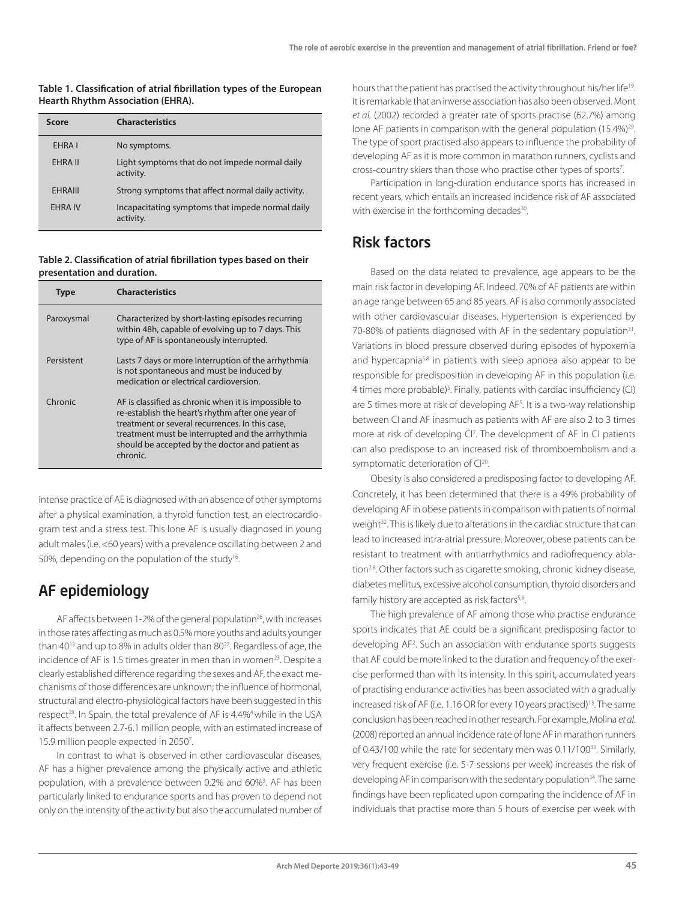#### **Table 1. Classification of atrial fibrillation types of the European Hearth Rhythm Association (EHRA).**

| <b>Score</b>   | <b>Characteristics</b>                                        |
|----------------|---------------------------------------------------------------|
| EHRA I         | No symptoms.                                                  |
| <b>EHRA II</b> | Light symptoms that do not impede normal daily<br>activity.   |
| <b>FHRAIII</b> | Strong symptoms that affect normal daily activity.            |
| <b>EHRA IV</b> | Incapacitating symptoms that impede normal daily<br>activity. |

#### **Table 2. Classification of atrial fibrillation types based on their presentation and duration.**

| Tvpe       | <b>Characteristics</b>                                                                                                                                                                                                                                                          |
|------------|---------------------------------------------------------------------------------------------------------------------------------------------------------------------------------------------------------------------------------------------------------------------------------|
| Paroxysmal | Characterized by short-lasting episodes recurring<br>within 48h, capable of evolving up to 7 days. This<br>type of AF is spontaneously interrupted.                                                                                                                             |
| Persistent | Lasts 7 days or more Interruption of the arrhythmia<br>is not spontaneous and must be induced by<br>medication or electrical cardioversion.                                                                                                                                     |
| Chronic    | AF is classified as chronic when it is impossible to<br>re-establish the heart's rhythm after one year of<br>treatment or several recurrences. In this case,<br>treatment must be interrupted and the arrhythmia<br>should be accepted by the doctor and patient as<br>chronic. |

intense practice of AE is diagnosed with an absence of other symptoms after a physical examination, a thyroid function test, an electrocardiogram test and a stress test. This lone AF is usually diagnosed in young adult males (i.e. <60 years) with a prevalence oscillating between 2 and 50%, depending on the population of the study<sup>16</sup>.

## AF epidemiology

AF affects between 1-2% of the general population<sup>26</sup>, with increases in those rates affecting as much as 0.5% more youths and adults younger than 40<sup>13</sup> and up to 8% in adults older than 80<sup>27</sup>. Regardless of age, the incidence of AF is 1.5 times greater in men than in women<sup>23</sup>. Despite a clearly established difference regarding the sexes and AF, the exact mechanisms of those differences are unknown; the influence of hormonal, structural and electro-physiological factors have been suggested in this respect<sup>28</sup>. In Spain, the total prevalence of AF is 4.4%<sup>4</sup> while in the USA it affects between 2.7-6.1 million people, with an estimated increase of 15.9 million people expected in 2050<sup>7</sup>.

In contrast to what is observed in other cardiovascular diseases, AF has a higher prevalence among the physically active and athletic population, with a prevalence between 0.2% and 60%<sup>3</sup>. AF has been particularly linked to endurance sports and has proven to depend not only on the intensity of the activity but also the accumulated number of hours that the patient has practised the activity throughout his/her life19. It is remarkable that an inverse association has also been observed. Mont *et al.* (2002) recorded a greater rate of sports practise (62.7%) among lone AF patients in comparison with the general population (15.4%)<sup>29</sup>. The type of sport practised also appears to influence the probability of developing AF as it is more common in marathon runners, cyclists and cross-country skiers than those who practise other types of sports7 .

Participation in long-duration endurance sports has increased in recent years, which entails an increased incidence risk of AF associated with exercise in the forthcoming decades<sup>30</sup>.

## Risk factors

Based on the data related to prevalence, age appears to be the main risk factor in developing AF. Indeed, 70% of AF patients are within an age range between 65 and 85 years. AF is also commonly associated with other cardiovascular diseases. Hypertension is experienced by 70-80% of patients diagnosed with AF in the sedentary population<sup>31</sup>. Variations in blood pressure observed during episodes of hypoxemia and hypercapnia<sup>5,8</sup> in patients with sleep apnoea also appear to be responsible for predisposition in developing AF in this population (i.e. 4 times more probable)<sup>5</sup>. Finally, patients with cardiac insufficiency (CI) are 5 times more at risk of developing AF<sup>5</sup>. It is a two-way relationship between CI and AF inasmuch as patients with AF are also 2 to 3 times more at risk of developing CI7 . The development of AF in CI patients can also predispose to an increased risk of thromboembolism and a symptomatic deterioration of Cl<sup>20</sup>.

Obesity is also considered a predisposing factor to developing AF. Concretely, it has been determined that there is a 49% probability of developing AF in obese patients in comparison with patients of normal weight<sup>32</sup>. This is likely due to alterations in the cardiac structure that can lead to increased intra-atrial pressure. Moreover, obese patients can be resistant to treatment with antiarrhythmics and radiofrequency ablation<sup>7,8</sup>. Other factors such as cigarette smoking, chronic kidney disease, diabetes mellitus, excessive alcohol consumption, thyroid disorders and family history are accepted as risk factors<sup>5,6</sup>.

The high prevalence of AF among those who practise endurance sports indicates that AE could be a significant predisposing factor to developing AF2 . Such an association with endurance sports suggests that AF could be more linked to the duration and frequency of the exercise performed than with its intensity. In this spirit, accumulated years of practising endurance activities has been associated with a gradually increased risk of AF (i.e. 1.16 OR for every 10 years practised)<sup>13</sup>. The same conclusion has been reached in other research. For example, Molina *et al*. (2008) reported an annual incidence rate of lone AF in marathon runners of 0.43/100 while the rate for sedentary men was 0.11/10033. Similarly, very frequent exercise (i.e. 5-7 sessions per week) increases the risk of developing AF in comparison with the sedentary population<sup>34</sup>. The same findings have been replicated upon comparing the incidence of AF in individuals that practise more than 5 hours of exercise per week with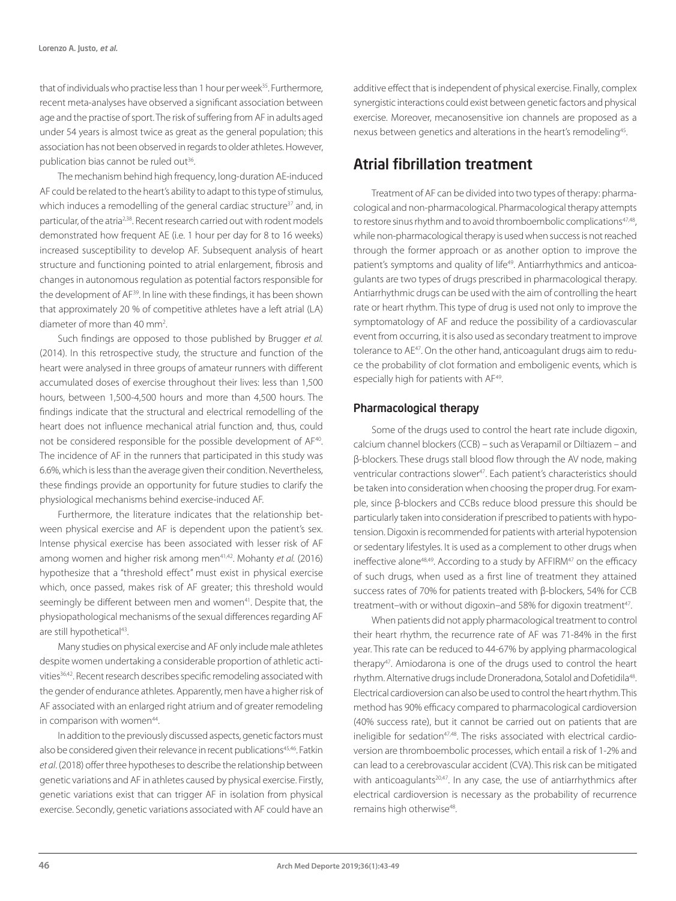that of individuals who practise less than 1 hour per week<sup>35</sup>. Furthermore, recent meta-analyses have observed a significant association between age and the practise of sport. The risk of suffering from AF in adults aged under 54 years is almost twice as great as the general population; this association has not been observed in regards to older athletes. However, publication bias cannot be ruled out<sup>36</sup>.

The mechanism behind high frequency, long-duration AE-induced AF could be related to the heart's ability to adapt to this type of stimulus, which induces a remodelling of the general cardiac structure<sup>37</sup> and, in particular, of the atria2,38. Recent research carried out with rodent models demonstrated how frequent AE (i.e. 1 hour per day for 8 to 16 weeks) increased susceptibility to develop AF. Subsequent analysis of heart structure and functioning pointed to atrial enlargement, fibrosis and changes in autonomous regulation as potential factors responsible for the development of AF39. In line with these findings, it has been shown that approximately 20 % of competitive athletes have a left atrial (LA) diameter of more than 40 mm<sup>2</sup>.

Such findings are opposed to those published by Brugger *et al.*  (2014). In this retrospective study, the structure and function of the heart were analysed in three groups of amateur runners with different accumulated doses of exercise throughout their lives: less than 1,500 hours, between 1,500-4,500 hours and more than 4,500 hours. The findings indicate that the structural and electrical remodelling of the heart does not influence mechanical atrial function and, thus, could not be considered responsible for the possible development of AF<sup>40</sup>. The incidence of AF in the runners that participated in this study was 6.6%, which is less than the average given their condition. Nevertheless, these findings provide an opportunity for future studies to clarify the physiological mechanisms behind exercise-induced AF.

Furthermore, the literature indicates that the relationship between physical exercise and AF is dependent upon the patient's sex. Intense physical exercise has been associated with lesser risk of AF among women and higher risk among men<sup>41,42</sup>. Mohanty *et al.* (2016) hypothesize that a "threshold effect" must exist in physical exercise which, once passed, makes risk of AF greater; this threshold would seemingly be different between men and women<sup>41</sup>. Despite that, the physiopathological mechanisms of the sexual differences regarding AF are still hypothetical<sup>43</sup>.

Many studies on physical exercise and AF only include male athletes despite women undertaking a considerable proportion of athletic activities<sup>36,42</sup>. Recent research describes specific remodeling associated with the gender of endurance athletes. Apparently, men have a higher risk of AF associated with an enlarged right atrium and of greater remodeling in comparison with women<sup>44</sup>.

In addition to the previously discussed aspects, genetic factors must also be considered given their relevance in recent publications<sup>45,46</sup>. Fatkin *et al*. (2018) offer three hypotheses to describe the relationship between genetic variations and AF in athletes caused by physical exercise. Firstly, genetic variations exist that can trigger AF in isolation from physical exercise. Secondly, genetic variations associated with AF could have an

additive effect that is independent of physical exercise. Finally, complex synergistic interactions could exist between genetic factors and physical exercise. Moreover, mecanosensitive ion channels are proposed as a nexus between genetics and alterations in the heart's remodeling<sup>45</sup>.

## Atrial fibrillation treatment

Treatment of AF can be divided into two types of therapy: pharmacological and non-pharmacological. Pharmacological therapy attempts to restore sinus rhythm and to avoid thromboembolic complications<sup>47,48</sup>, while non-pharmacological therapy is used when success is not reached through the former approach or as another option to improve the patient's symptoms and quality of life<sup>49</sup>. Antiarrhythmics and anticoagulants are two types of drugs prescribed in pharmacological therapy. Antiarrhythmic drugs can be used with the aim of controlling the heart rate or heart rhythm. This type of drug is used not only to improve the symptomatology of AF and reduce the possibility of a cardiovascular event from occurring, it is also used as secondary treatment to improve tolerance to AE<sup>47</sup>. On the other hand, anticoagulant drugs aim to reduce the probability of clot formation and emboligenic events, which is especially high for patients with AF49.

### Pharmacological therapy

Some of the drugs used to control the heart rate include digoxin, calcium channel blockers (CCB) – such as Verapamil or Diltiazem – and β-blockers. These drugs stall blood flow through the AV node, making ventricular contractions slower<sup>47</sup>. Each patient's characteristics should be taken into consideration when choosing the proper drug. For example, since β-blockers and CCBs reduce blood pressure this should be particularly taken into consideration if prescribed to patients with hypotension. Digoxin is recommended for patients with arterial hypotension or sedentary lifestyles. It is used as a complement to other drugs when ineffective alone<sup>48,49</sup>. According to a study by AFFIRM<sup>47</sup> on the efficacy of such drugs, when used as a first line of treatment they attained success rates of 70% for patients treated with β-blockers, 54% for CCB treatment–with or without digoxin–and 58% for digoxin treatment<sup>47</sup>.

When patients did not apply pharmacological treatment to control their heart rhythm, the recurrence rate of AF was 71-84% in the first year. This rate can be reduced to 44-67% by applying pharmacological therapy<sup>47</sup>. Amiodarona is one of the drugs used to control the heart rhythm. Alternative drugs include Droneradona, Sotalol and Dofetidila<sup>48</sup>. Electrical cardioversion can also be used to control the heart rhythm. This method has 90% efficacy compared to pharmacological cardioversion (40% success rate), but it cannot be carried out on patients that are ineligible for sedation<sup>47,48</sup>. The risks associated with electrical cardioversion are thromboembolic processes, which entail a risk of 1-2% and can lead to a cerebrovascular accident (CVA). This risk can be mitigated with anticoagulants<sup>20,47</sup>. In any case, the use of antiarrhythmics after electrical cardioversion is necessary as the probability of recurrence remains high otherwise<sup>48</sup>.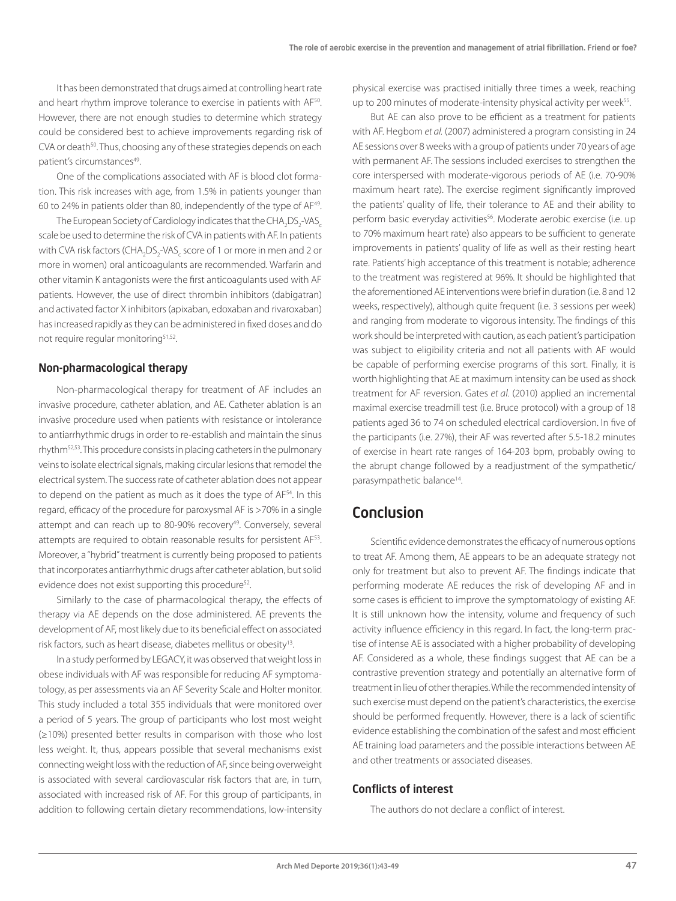It has been demonstrated that drugs aimed at controlling heart rate and heart rhythm improve tolerance to exercise in patients with AF<sup>50</sup>. However, there are not enough studies to determine which strategy could be considered best to achieve improvements regarding risk of CVA or death<sup>50</sup>. Thus, choosing any of these strategies depends on each patient's circumstances<sup>49</sup>.

One of the complications associated with AF is blood clot formation. This risk increases with age, from 1.5% in patients younger than 60 to 24% in patients older than 80, independently of the type of AF49.

The European Society of Cardiology indicates that the CHA $_{2}$ DS $_{2}$ -VAS $_{\rm c}$ scale be used to determine the risk of CVA in patients with AF. In patients with CVA risk factors (CHA<sub>2</sub>DS<sub>2</sub>-VAS<sub>c</sub> score of 1 or more in men and 2 or more in women) oral anticoagulants are recommended. Warfarin and other vitamin K antagonists were the first anticoagulants used with AF patients. However, the use of direct thrombin inhibitors (dabigatran) and activated factor X inhibitors (apixaban, edoxaban and rivaroxaban) has increased rapidly as they can be administered in fixed doses and do not require regular monitoring<sup>51,52</sup>.

#### Non-pharmacological therapy

Non-pharmacological therapy for treatment of AF includes an invasive procedure, catheter ablation, and AE. Catheter ablation is an invasive procedure used when patients with resistance or intolerance to antiarrhythmic drugs in order to re-establish and maintain the sinus rhythm52,53. This procedure consists in placing catheters in the pulmonary veins to isolate electrical signals, making circular lesions that remodel the electrical system. The success rate of catheter ablation does not appear to depend on the patient as much as it does the type of AF<sup>54</sup>. In this regard, efficacy of the procedure for paroxysmal AF is >70% in a single attempt and can reach up to 80-90% recovery<sup>49</sup>. Conversely, several attempts are required to obtain reasonable results for persistent AF<sup>53</sup>. Moreover, a "hybrid" treatment is currently being proposed to patients that incorporates antiarrhythmic drugs after catheter ablation, but solid evidence does not exist supporting this procedure<sup>52</sup>.

Similarly to the case of pharmacological therapy, the effects of therapy via AE depends on the dose administered. AE prevents the development of AF, most likely due to its beneficial effect on associated risk factors, such as heart disease, diabetes mellitus or obesity<sup>13</sup>.

In a study performed by LEGACY, it was observed that weight loss in obese individuals with AF was responsible for reducing AF symptomatology, as per assessments via an AF Severity Scale and Holter monitor. This study included a total 355 individuals that were monitored over a period of 5 years. The group of participants who lost most weight (≥10%) presented better results in comparison with those who lost less weight. It, thus, appears possible that several mechanisms exist connecting weight loss with the reduction of AF, since being overweight is associated with several cardiovascular risk factors that are, in turn, associated with increased risk of AF. For this group of participants, in addition to following certain dietary recommendations, low-intensity

physical exercise was practised initially three times a week, reaching up to 200 minutes of moderate-intensity physical activity per week<sup>55</sup>.

But AE can also prove to be efficient as a treatment for patients with AF. Hegbom *et al.* (2007) administered a program consisting in 24 AE sessions over 8 weeks with a group of patients under 70 years of age with permanent AF. The sessions included exercises to strengthen the core interspersed with moderate-vigorous periods of AE (i.e. 70-90% maximum heart rate). The exercise regiment significantly improved the patients' quality of life, their tolerance to AE and their ability to perform basic everyday activities<sup>56</sup>. Moderate aerobic exercise (i.e. up to 70% maximum heart rate) also appears to be sufficient to generate improvements in patients' quality of life as well as their resting heart rate. Patients' high acceptance of this treatment is notable; adherence to the treatment was registered at 96%. It should be highlighted that the aforementioned AE interventions were brief in duration (i.e. 8 and 12 weeks, respectively), although quite frequent (i.e. 3 sessions per week) and ranging from moderate to vigorous intensity. The findings of this work should be interpreted with caution, as each patient's participation was subject to eligibility criteria and not all patients with AF would be capable of performing exercise programs of this sort. Finally, it is worth highlighting that AE at maximum intensity can be used as shock treatment for AF reversion. Gates *et al*. (2010) applied an incremental maximal exercise treadmill test (i.e. Bruce protocol) with a group of 18 patients aged 36 to 74 on scheduled electrical cardioversion. In five of the participants (i.e. 27%), their AF was reverted after 5.5-18.2 minutes of exercise in heart rate ranges of 164-203 bpm, probably owing to the abrupt change followed by a readjustment of the sympathetic/ parasympathetic balance<sup>14</sup>.

### Conclusion

Scientific evidence demonstrates the efficacy of numerous options to treat AF. Among them, AE appears to be an adequate strategy not only for treatment but also to prevent AF. The findings indicate that performing moderate AE reduces the risk of developing AF and in some cases is efficient to improve the symptomatology of existing AF. It is still unknown how the intensity, volume and frequency of such activity influence efficiency in this regard. In fact, the long-term practise of intense AE is associated with a higher probability of developing AF. Considered as a whole, these findings suggest that AE can be a contrastive prevention strategy and potentially an alternative form of treatment in lieu of other therapies. While the recommended intensity of such exercise must depend on the patient's characteristics, the exercise should be performed frequently. However, there is a lack of scientific evidence establishing the combination of the safest and most efficient AE training load parameters and the possible interactions between AE and other treatments or associated diseases.

### Conflicts of interest

The authors do not declare a conflict of interest.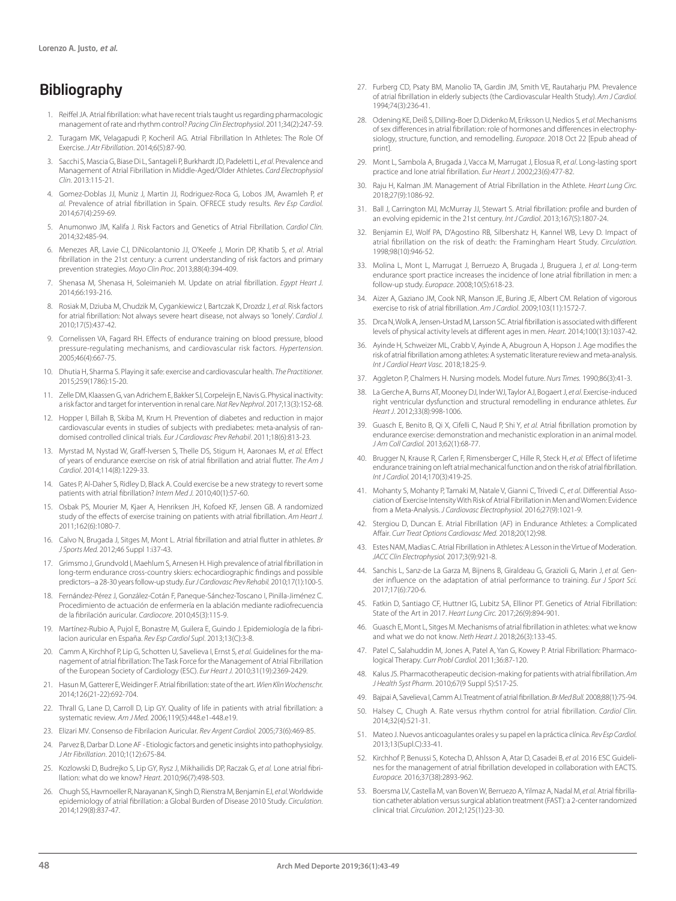## Bibliography

- 1. Reiffel JA. Atrial fibrillation: what have recent trials taught us regarding pharmacologic management of rate and rhythm control? *Pacing Clin Electrophysiol*. 2011;34(2):247-59.
- 2. Turagam MK, Velagapudi P, Kocheril AG. Atrial Fibrillation In Athletes: The Role Of Exercise. *J Atr Fibrillation*. 2014;6(5):87-90.
- 3. Sacchi S, Mascia G, Biase Di L, Santageli P, Burkhardt JD, Padeletti L, *et al*. Prevalence and Management of Atrial Fibrillation in Middle-Aged/Older Athletes. *Card Electrophysiol Clin*. 2013:115-21.
- 4. Gomez-Doblas JJ, Muniz J, Martin JJ, Rodriguez-Roca G, Lobos JM, Awamleh P, *et al.* Prevalence of atrial fibrillation in Spain. OFRECE study results. *Rev Esp Cardiol.*  2014;67(4):259-69.
- 5. Anumonwo JM, Kalifa J. Risk Factors and Genetics of Atrial Fibrillation. *Cardiol Clin.*  2014;32:485-94.
- 6. Menezes AR, Lavie CJ, DiNicolantonio JJ, O'Keefe J, Morin DP, Khatib S, *et al*. Atrial fibrillation in the 21st century: a current understanding of risk factors and primary prevention strategies. *Mayo Clin Proc*. 2013;88(4):394-409.
- 7. Shenasa M, Shenasa H, Soleimanieh M. Update on atrial fibrillation. *Egypt Heart J.*  2014;66:193-216.
- 8. Rosiak M, Dziuba M, Chudzik M, Cygankiewicz I, Bartczak K, Drozdz J, *et al*. Risk factors for atrial fibrillation: Not always severe heart disease, not always so 'lonely'. *Cardiol J.*  2010;17(5):437-42.
- 9. Cornelissen VA, Fagard RH. Effects of endurance training on blood pressure, blood pressure-regulating mechanisms, and cardiovascular risk factors. *Hypertension.*  2005;46(4):667-75.
- 10. Dhutia H, Sharma S. Playing it safe: exercise and cardiovascular health. *The Practitioner.*  2015;259(1786):15-20.
- 11. Zelle DM, Klaassen G, van Adrichem E, Bakker SJ, Corpeleijn E, Navis G. Physical inactivity: a risk factor and target for intervention in renal care. *Nat Rev Nephrol*. 2017;13(3):152-68.
- 12. Hopper I, Billah B, Skiba M, Krum H. Prevention of diabetes and reduction in major cardiovascular events in studies of subjects with prediabetes: meta-analysis of randomised controlled clinical trials. *Eur J Cardiovasc Prev Rehabil*. 2011;18(6):813-23.
- 13. Myrstad M, Nystad W, Graff-Iversen S, Thelle DS, Stigum H, Aaronaes M, *et al.* Effect of years of endurance exercise on risk of atrial fibrillation and atrial flutter. *The Am J Cardiol*. 2014;114(8):1229-33.
- 14. Gates P, Al-Daher S, Ridley D, Black A. Could exercise be a new strategy to revert some patients with atrial fibrillation? *Intern Med J.* 2010;40(1):57-60.
- 15. Osbak PS, Mourier M, Kjaer A, Henriksen JH, Kofoed KF, Jensen GB. A randomized study of the effects of exercise training on patients with atrial fibrillation. *Am Heart J.*  2011;162(6):1080-7.
- 16. Calvo N, Brugada J, Sitges M, Mont L. Atrial fibrillation and atrial flutter in athletes. *Br J Sports Med.* 2012;46 Suppl 1:i37-43.
- 17. Grimsmo J, Grundvold I, Maehlum S, Arnesen H. High prevalence of atrial fibrillation in long-term endurance cross-country skiers: echocardiographic findings and possible predictors--a 28-30 years follow-up study. *Eur J Cardiovasc Prev Rehabil.* 2010;17(1):100-5.
- 18. Fernández-Pérez J, González-Cotán F, Paneque-Sánchez-Toscano I, Pinilla-Jiménez C. Procedimiento de actuación de enfermería en la ablación mediante radiofrecuencia de la fibrilación auricular. *Cardiocore*. 2010;45(3):115-9.
- 19. Martínez-Rubio A, Pujol E, Bonastre M, Guilera E, Guindo J. Epidemiología de la fibrilacion auricular en España. *Rev Esp Cardiol Supl*. 2013;13(C):3-8.
- 20. Camm A, Kirchhof P, Lip G, Schotten U, Savelieva I, Ernst S*, et al.* Guidelines for the management of atrial fibrillation: The Task Force for the Management of Atrial Fibrillation of the European Society of Cardiology (ESC). *Eur Heart J.* 2010;31(19):2369-2429.
- 21. Hasun M, Gatterer E, Weidinger F. Atrial fibrillation: state of the art. *Wien Klin Wochenschr.* 2014;126(21-22):692-704.
- 22. Thrall G, Lane D, Carroll D, Lip GY. Quality of life in patients with atrial fibrillation: a systematic review. *Am J Med.* 2006;119(5):448.e1-448.e19.
- 23. Elizari MV. Consenso de Fibrilacion Auricular. *Rev Argent Cardiol.* 2005;73(6):469-85.
- 24. Parvez B, Darbar D. Lone AF Etiologic factors and genetic insights into pathophysiolgy. *J Atr Fibrillation*. 2010;1(12):675-84.
- 25. Kozlowski D, Budrejko S, Lip GY, Rysz J, Mikhailidis DP, Raczak G, *et al.* Lone atrial fibrillation: what do we know? *Heart.* 2010;96(7):498-503.
- 26. Chugh SS, Havmoeller R, Narayanan K, Singh D, Rienstra M, Benjamin EJ, *et al*. Worldwide epidemiology of atrial fibrillation: a Global Burden of Disease 2010 Study. *Circulation.*  2014;129(8):837-47.
- 27. Furberg CD, Psaty BM, Manolio TA, Gardin JM, Smith VE, Rautaharju PM. Prevalence of atrial fibrillation in elderly subjects (the Cardiovascular Health Study). *Am J Cardiol.*  1994;74(3):236-41.
- 28. Odening KE, Deiß S, Dilling-Boer D, Didenko M, Eriksson U, Nedios S*, et al*. Mechanisms of sex differences in atrial fibrillation: role of hormones and differences in electrophysiology, structure, function, and remodelling. *Europace*. 2018 Oct 22 [Epub ahead of print].
- 29. Mont L, Sambola A, Brugada J, Vacca M, Marrugat J, Elosua R, *et al*. Long-lasting sport practice and lone atrial fibrillation. *Eur Heart J.* 2002;23(6):477-82.
- 30. Raju H, Kalman JM. Management of Atrial Fibrillation in the Athlete. *Heart Lung Circ.*  2018;27(9):1086-92.
- 31. Ball J, Carrington MJ, McMurray JJ, Stewart S. Atrial fibrillation: profile and burden of an evolving epidemic in the 21st century*. Int J Cardiol*. 2013;167(5):1807-24.
- 32. Benjamin EJ, Wolf PA, D'Agostino RB, Silbershatz H, Kannel WB, Levy D. Impact of atrial fibrillation on the risk of death: the Framingham Heart Study. *Circulation.*  1998;98(10):946-52.
- 33. Molina L, Mont L, Marrugat J, Berruezo A, Brugada J, Bruguera J, *et al.* Long-term endurance sport practice increases the incidence of lone atrial fibrillation in men: a follow-up study. *Europace*. 2008;10(5):618-23.
- 34. Aizer A, Gaziano JM, Cook NR, Manson JE, Buring JE, Albert CM. Relation of vigorous exercise to risk of atrial fibrillation. *Am J Cardiol*. 2009;103(11):1572-7.
- 35. Drca N, Wolk A, Jensen-Urstad M, Larsson SC. Atrial fibrillation is associated with different levels of physical activity levels at different ages in men. *Heart.* 2014;100(13):1037-42.
- Ayinde H, Schweizer ML, Crabb V, Ayinde A, Abugroun A, Hopson J. Age modifies the risk of atrial fibrillation among athletes: A systematic literature review and meta-analysis. *Int J Cardiol Heart Vasc.* 2018;18:25-9.
- 37. Aggleton P, Chalmers H. Nursing models. Model future. *Nurs Times.* 1990;86(3):41-3.
- 38. La Gerche A, Burns AT, Mooney DJ, Inder WJ, Taylor AJ, Bogaert J, *et al*. Exercise-induced right ventricular dysfunction and structural remodelling in endurance athletes. *Eur Heart J*. 2012;33(8):998-1006.
- 39. Guasch E, Benito B, Qi X, Cifelli C, Naud P, Shi Y*, et al.* Atrial fibrillation promotion by endurance exercise: demonstration and mechanistic exploration in an animal model. *J Am Coll Cardiol.* 2013;62(1):68-77.
- 40. Brugger N, Krause R, Carlen F, Rimensberger C, Hille R, Steck H, *et al.* Effect of lifetime endurance training on left atrial mechanical function and on the risk of atrial fibrillation. *Int J Cardiol.* 2014;170(3):419-25.
- 41. Mohanty S, Mohanty P, Tamaki M, Natale V, Gianni C, Trivedi C, *et al*. Differential Association of Exercise Intensity With Risk of Atrial Fibrillation in Men and Women: Evidence from a Meta-Analysis. *J Cardiovasc Electrophysiol.* 2016;27(9):1021-9.
- 42. Stergiou D, Duncan E. Atrial Fibrillation (AF) in Endurance Athletes: a Complicated Affair. *Curr Treat Options Cardiovasc Med.* 2018;20(12):98.
- 43. Estes NAM, Madias C. Atrial Fibrillation in Athletes: A Lesson in the Virtue of Moderation. *JACC Clin Electrophysiol.* 2017;3(9):921-8.
- 44. Sanchis L, Sanz-de La Garza M, Bijnens B, Giraldeau G, Grazioli G, Marin J, *et al.* Gender influence on the adaptation of atrial performance to training. *Eur J Sport Sci.*  2017;17(6):720-6.
- 45. Fatkin D, Santiago CF, Huttner IG, Lubitz SA, Ellinor PT. Genetics of Atrial Fibrillation: State of the Art in 2017. *Heart Lung Circ.* 2017;26(9):894-901.
- 46. Guasch E, Mont L, Sitges M. Mechanisms of atrial fibrillation in athletes: what we know and what we do not know. *Neth Heart J.* 2018;26(3):133-45.
- 47. Patel C, Salahuddin M, Jones A, Patel A, Yan G, Kowey P. Atrial Fibrillation: Pharmacological Therapy. *Curr Probl Cardiol.* 2011;36:87-120.
- 48. Kalus JS. Pharmacotherapeutic decision-making for patients with atrial fibrillation. *Am J Health Syst Pharm*. 2010;67(9 Suppl 5):S17-25.
- 49. Bajpai A, Savelieva I, Camm AJ. Treatment of atrial fibrillation. *Br Med Bull.* 2008;88(1):75-94.
- 50. Halsey C, Chugh A. Rate versus rhythm control for atrial fibrillation. *Cardiol Clin.*  2014;32(4):521-31.
- 51. Mateo J. Nuevos anticoagulantes orales y su papel en la práctica clínica. *Rev Esp Cardiol.*  2013;13(Supl.C):33-41.
- 52. Kirchhof P, Benussi S, Kotecha D, Ahlsson A, Atar D, Casadei B, *et al*. 2016 ESC Guidelines for the management of atrial fibrillation developed in collaboration with EACTS. *Europace.* 2016;37(38):2893-962.
- 53. Boersma LV, Castella M, van Boven W, Berruezo A, Yilmaz A, Nadal M, *et al.* Atrial fibrillation catheter ablation versus surgical ablation treatment (FAST): a 2-center randomized clinical trial. *Circulation*. 2012;125(1):23-30.